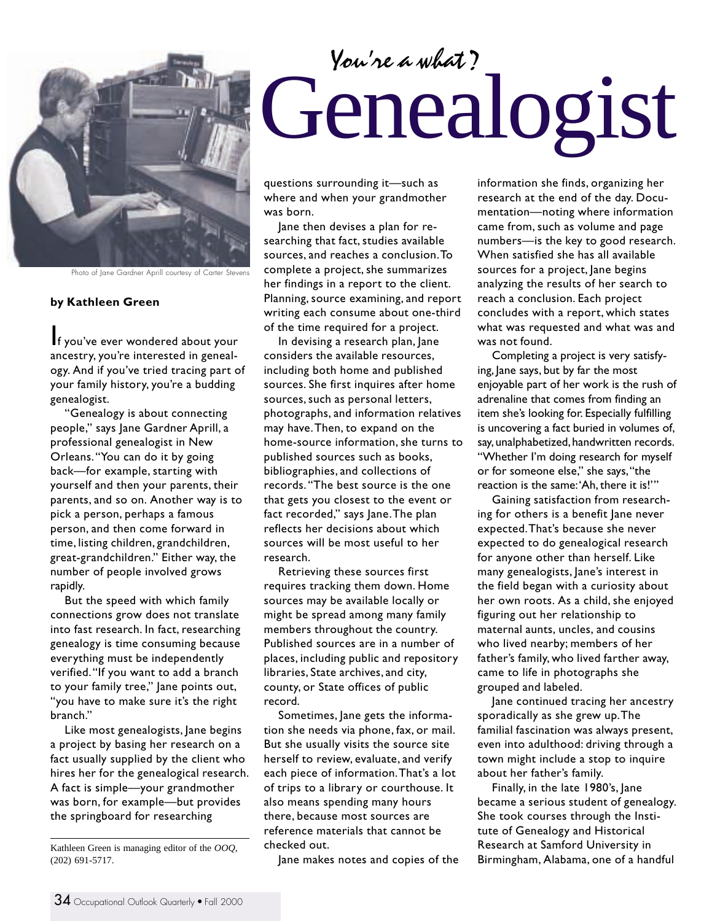

Photo of Jane Gardner Aprill courtesy of Carter Stevens

## **by Kathleen Green**

If you've ever wondered about your ancestry, you're interested in genealogy. And if you've tried tracing part of your family history, you're a budding genealogist.

"Genealogy is about connecting people," says Jane Gardner Aprill, a professional genealogist in New Orleans. "You can do it by going back—for example, starting with yourself and then your parents, their parents, and so on. Another way is to pick a person, perhaps a famous person, and then come forward in time, listing children, grandchildren, great-grandchildren." Either way, the number of people involved grows rapidly.

But the speed with which family connections grow does not translate into fast research. In fact, researching genealogy is time consuming because everything must be independently verified. "If you want to add a branch to your family tree," Jane points out, "you have to make sure it's the right branch."

Like most genealogists, Jane begins a project by basing her research on a fact usually supplied by the client who hires her for the genealogical research. A fact is simple—your grandmother was born, for example—but provides the springboard for researching

## Genealogist *You're a what?*

questions surrounding it—such as where and when your grandmother was born.

Jane then devises a plan for researching that fact, studies available sources, and reaches a conclusion. To complete a project, she summarizes her findings in a report to the client. Planning, source examining, and report writing each consume about one-third of the time required for a project.

In devising a research plan, Jane considers the available resources, including both home and published sources. She first inquires after home sources, such as personal letters, photographs, and information relatives may have. Then, to expand on the home-source information, she turns to published sources such as books, bibliographies, and collections of records. "The best source is the one that gets you closest to the event or fact recorded," says Jane. The plan reflects her decisions about which sources will be most useful to her research.

Retrieving these sources first requires tracking them down. Home sources may be available locally or might be spread among many family members throughout the country. Published sources are in a number of places, including public and repository libraries, State archives, and city, county, or State offices of public record.

Sometimes, Jane gets the information she needs via phone, fax, or mail. But she usually visits the source site herself to review, evaluate, and verify each piece of information. That's a lot of trips to a library or courthouse. It also means spending many hours there, because most sources are reference materials that cannot be checked out.

Jane makes notes and copies of the

information she finds, organizing her research at the end of the day. Documentation—noting where information came from, such as volume and page numbers—is the key to good research. When satisfied she has all available sources for a project, Jane begins analyzing the results of her search to reach a conclusion. Each project concludes with a report, which states what was requested and what was and was not found.

Completing a project is very satisfying, Jane says, but by far the most enjoyable part of her work is the rush of adrenaline that comes from finding an item she's looking for. Especially fulfilling is uncovering a fact buried in volumes of, say, unalphabetized, handwritten records. "Whether I'm doing research for myself or for someone else," she says, "the reaction is the same: 'Ah, there it is!'"

Gaining satisfaction from researching for others is a benefit Jane never expected. That's because she never expected to do genealogical research for anyone other than herself. Like many genealogists, Jane's interest in the field began with a curiosity about her own roots. As a child, she enjoyed figuring out her relationship to maternal aunts, uncles, and cousins who lived nearby; members of her father's family, who lived farther away, came to life in photographs she grouped and labeled.

Jane continued tracing her ancestry sporadically as she grew up. The familial fascination was always present, even into adulthood: driving through a town might include a stop to inquire about her father's family.

Finally, in the late 1980's, Jane became a serious student of genealogy. She took courses through the Institute of Genealogy and Historical Research at Samford University in Birmingham, Alabama, one of a handful

Kathleen Green is managing editor of the *OOQ*, (202) 691-5717.